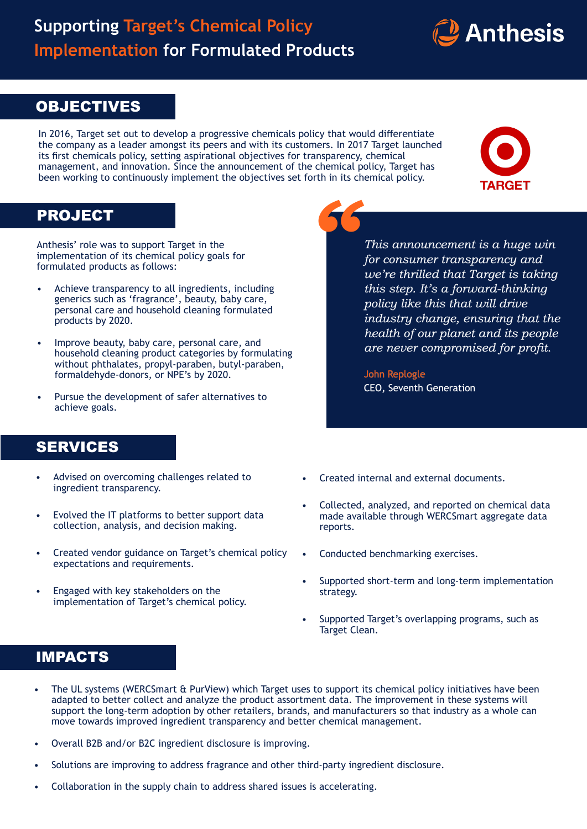## **Supporting Target's Chemical Policy Implementation for Formulated Products**



### **OBJECTIVES**

In 2016, Target set out to develop a progressive chemicals policy that would differentiate the company as a leader amongst its peers and with its customers. In 2017 Target launched its first chemicals policy, setting aspirational objectives for transparency, chemical management, and innovation. Since the announcement of the chemical policy, Target has been working to continuously implement the objectives set forth in its chemical policy.



#### PROJECT

Anthesis' role was to support Target in the implementation of its chemical policy goals for formulated products as follows:

- Achieve transparency to all ingredients, including generics such as 'fragrance', beauty, baby care, personal care and household cleaning formulated products by 2020.
- Improve beauty, baby care, personal care, and household cleaning product categories by formulating without phthalates, propyl-paraben, butyl-paraben, formaldehyde-donors, or NPE's by 2020.
- Pursue the development of safer alternatives to achieve goals.

# *This announcement is a huge win for consumer transparency and*

*"*

*we're thrilled that Target is taking this step. It's a forward-thinking policy like this that will drive industry change, ensuring that the health of our planet and its people are never compromised for profit.*

John Replogle CEO, Seventh Generation

### SERVICES

- Advised on overcoming challenges related to ingredient transparency.
- Evolved the IT platforms to better support data collection, analysis, and decision making.
- Created vendor guidance on Target's chemical policy expectations and requirements.
- Engaged with key stakeholders on the implementation of Target's chemical policy.
- Created internal and external documents.
- Collected, analyzed, and reported on chemical data made available through WERCSmart aggregate data reports.
- Conducted benchmarking exercises.
- Supported short-term and long-term implementation strategy.
- Supported Target's overlapping programs, such as Target Clean.

#### IMPACTS

- The UL systems (WERCSmart & PurView) which Target uses to support its chemical policy initiatives have been adapted to better collect and analyze the product assortment data. The improvement in these systems will support the long-term adoption by other retailers, brands, and manufacturers so that industry as a whole can move towards improved ingredient transparency and better chemical management.
- Overall B2B and/or B2C ingredient disclosure is improving.
- Solutions are improving to address fragrance and other third-party ingredient disclosure.
- Collaboration in the supply chain to address shared issues is accelerating.